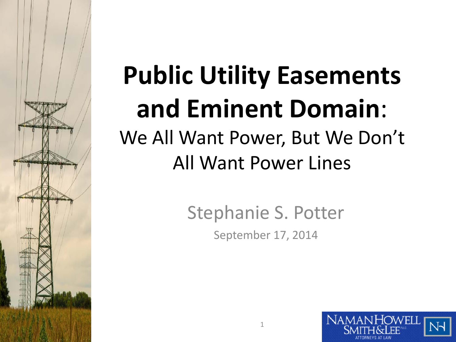# **Public Utility Easements and Eminent Domain**: We All Want Power, But We Don't

## All Want Power Lines

Stephanie S. Potter September 17, 2014

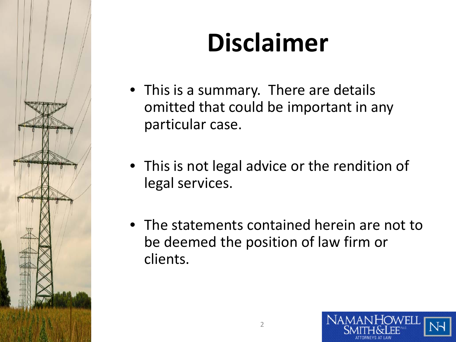

# **Disclaimer**

- This is a summary. There are details omitted that could be important in any particular case.
- This is not legal advice or the rendition of legal services.
- The statements contained herein are not to be deemed the position of law firm or clients.

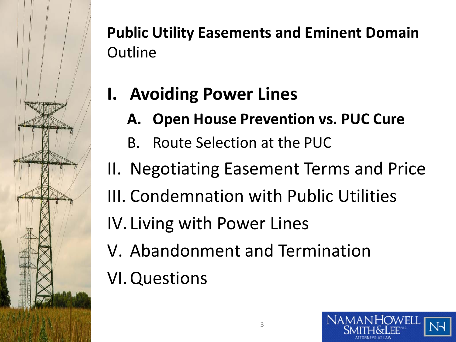

### **I. Avoiding Power Lines**

- **A. Open House Prevention vs. PUC Cure**
- B. Route Selection at the PUC
- II. Negotiating Easement Terms and Price III. Condemnation with Public Utilities
- IV. Living with Power Lines
- V. Abandonment and Termination
- VI.Questions

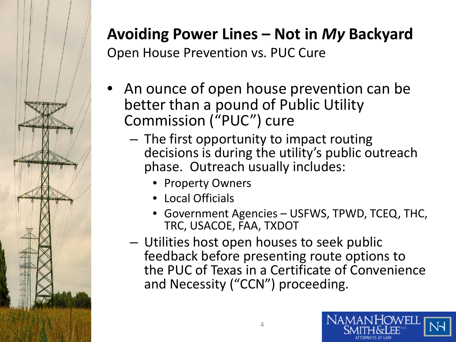

### **Avoiding Power Lines – Not in** *My* **Backyard**

Open House Prevention vs. PUC Cure

- An ounce of open house prevention can be better than a pound of Public Utility Commission ("PUC") cure
	- The first opportunity to impact routing decisions is during the utility's public outreach phase. Outreach usually includes:
		- Property Owners
		- Local Officials
		- Government Agencies USFWS, TPWD, TCEQ, THC, TRC, USACOE, FAA, TXDOT
	- Utilities host open houses to seek public feedback before presenting route options to the PUC of Texas in a Certificate of Convenience and Necessity ("CCN") proceeding.

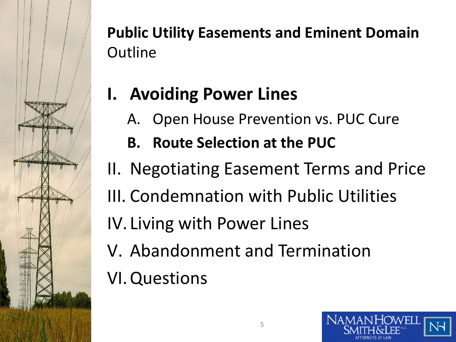

## **I. Avoiding Power Lines**

- A. Open House Prevention vs. PUC Cure
- **B. Route Selection at the PUC**
- II. Negotiating Easement Terms and Price III. Condemnation with Public Utilities
- IV. Living with Power Lines
- V. Abandonment and Termination
- VI.Questions

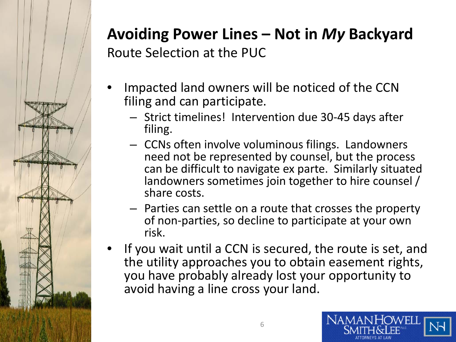

#### **Avoiding Power Lines – Not in** *My* **Backyard** Route Selection at the PUC

- Impacted land owners will be noticed of the CCN filing and can participate.
	- Strict timelines! Intervention due 30-45 days after filing.
	- CCNs often involve voluminous filings. Landowners need not be represented by counsel, but the process can be difficult to navigate ex parte. Similarly situated landowners sometimes join together to hire counsel / share costs.
	- Parties can settle on a route that crosses the property of non-parties, so decline to participate at your own risk.
- If you wait until a CCN is secured, the route is set, and the utility approaches you to obtain easement rights, you have probably already lost your opportunity to avoid having a line cross your land.

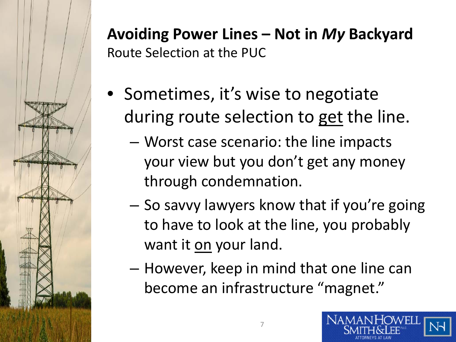

#### **Avoiding Power Lines – Not in** *My* **Backyard** Route Selection at the PUC

- Sometimes, it's wise to negotiate during route selection to get the line.
	- Worst case scenario: the line impacts your view but you don't get any money through condemnation.
	- So savvy lawyers know that if you're going to have to look at the line, you probably want it on your land.
	- However, keep in mind that one line can become an infrastructure "magnet."

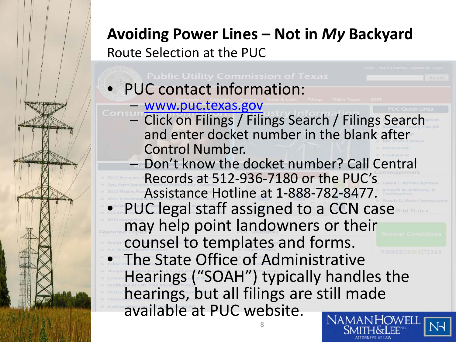#### **Avoiding Power Lines – Not in** *My* **Backyard**

Route Selection at the PUC

• PUC contact information: – [www.puc.texas.gov](http://www.puc.texas.gov/) – Click on Filings / Filings Search / Filings Search and enter docket number in the blank after Control Number. – Don't know the docket number? Call Central Records at 512-936-7180 or the PUC's Assistance Hotline at 1-888-782-8477. PUC legal staff assigned to a CCN case may help point landowners or their counsel to templates and forms. The State Office of Administrative Hearings ("SOAH") typically handles the hearings, but all filings are still made available at PUC website.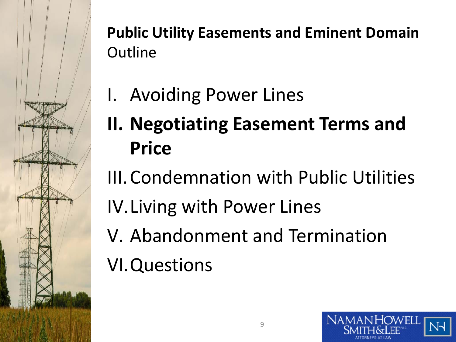

- I. Avoiding Power Lines
- **II. Negotiating Easement Terms and Price**
- III.Condemnation with Public Utilities IV.Living with Power Lines V. Abandonment and Termination VI.Questions

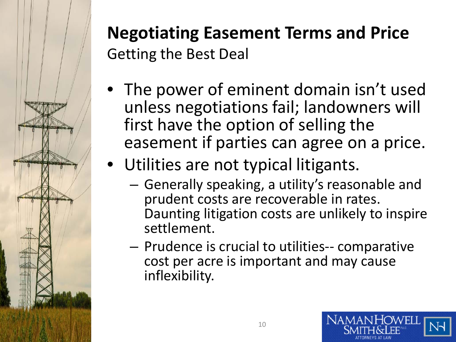

### **Negotiating Easement Terms and Price** Getting the Best Deal

- The power of eminent domain isn't used unless negotiations fail; landowners will first have the option of selling the easement if parties can agree on a price.
- Utilities are not typical litigants.
	- Generally speaking, a utility's reasonable and prudent costs are recoverable in rates. Daunting litigation costs are unlikely to inspire settlement.
	- Prudence is crucial to utilities-- comparative cost per acre is important and may cause inflexibility.

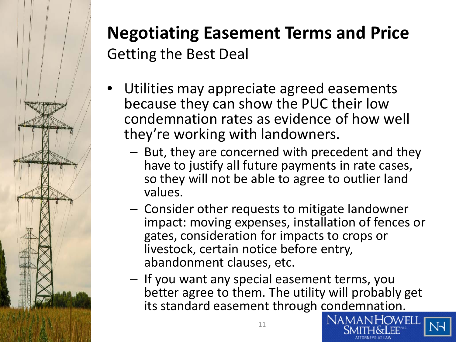

### **Negotiating Easement Terms and Price** Getting the Best Deal

- Utilities may appreciate agreed easements because they can show the PUC their low condemnation rates as evidence of how well they're working with landowners.
	- But, they are concerned with precedent and they have to justify all future payments in rate cases, so they will not be able to agree to outlier land values.
	- Consider other requests to mitigate landowner impact: moving expenses, installation of fences or gates, consideration for impacts to crops or livestock, certain notice before entry, abandonment clauses, etc.
	- If you want any special easement terms, you better agree to them. The utility will probably get its standard easement through condemnation.

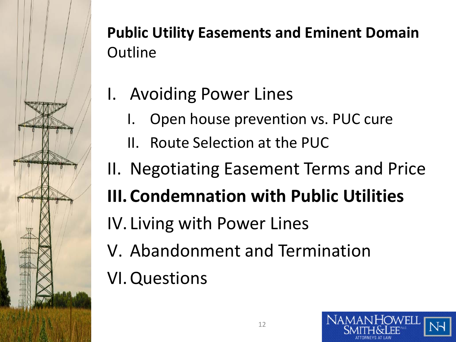

- I. Avoiding Power Lines
	- I. Open house prevention vs. PUC cure
	- II. Route Selection at the PUC
- II. Negotiating Easement Terms and Price

## **III.Condemnation with Public Utilities**

- IV. Living with Power Lines
- V. Abandonment and Termination

## VI.Questions

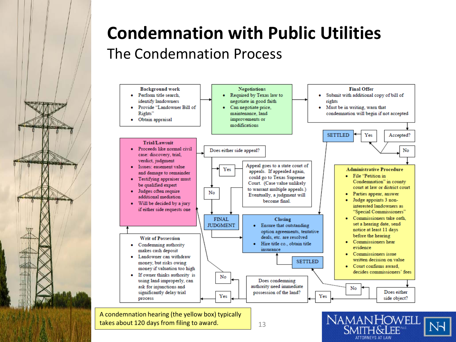

#### **Condemnation with Public Utilities** The Condemnation Process



takes about 120 days from filing to award.  $13$ 

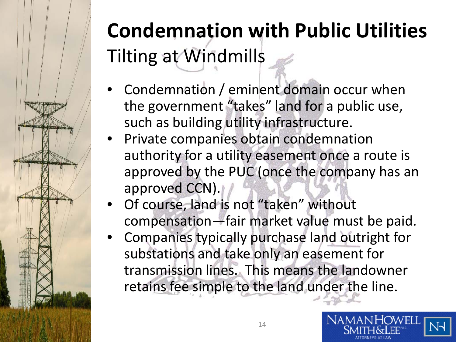

## **Condemnation with Public Utilities** Tilting at Windmills

- Condemnation / eminent domain occur when the government "takes" land for a public use, such as building utility infrastructure.
- Private companies obtain condemnation authority for a utility easement once a route is approved by the PUC (once the company has an approved CCN).
- Of course, land is not "taken" without compensation—fair market value must be paid.
- Companies typically purchase land outright for substations and take only an easement for transmission lines. This means the landowner retains fee simple to the land under the line.

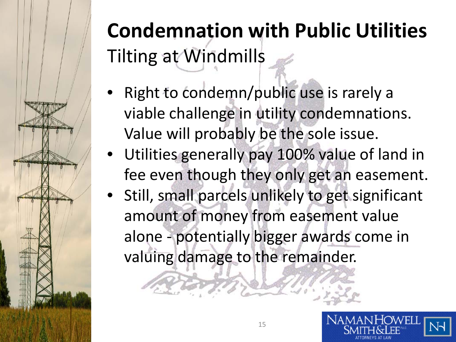

## **Condemnation with Public Utilities** Tilting at Windmills

- Right to condemn/public use is rarely a viable challenge in utility condemnations. Value will probably be the sole issue.
- Utilities generally pay 100% value of land in fee even though they only get an easement.
- Still, small parcels unlikely to get significant amount of money from easement value alone - potentially bigger awards come in valuing damage to the remainder.

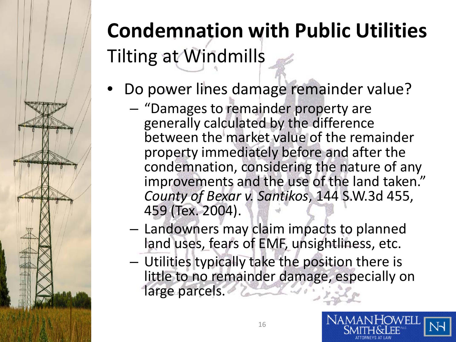## **Condemnation with Public Utilities** Tilting at Windmills

- Do power lines damage remainder value?
	- "Damages to remainder property are generally calculated by the difference between the market value of the remainder property immediately before and after the condemnation, considering the nature of any improvements and the use of the land taken." *County of Bexar v. Santikos*, 144 S.W.3d 455, 459 (Tex. 2004).
	- Landowners may claim impacts to planned land uses, fears of EMF, unsightliness, etc.
	- Utilities typically take the position there is little to no remainder damage, especially on large parcels.

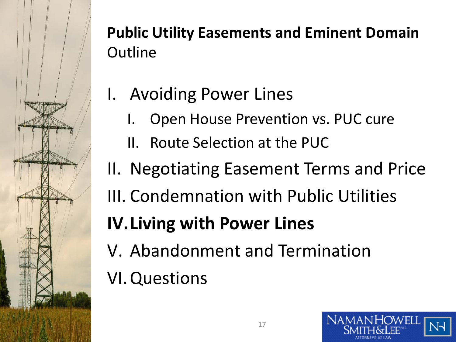

- I. Avoiding Power Lines
	- I. Open House Prevention vs. PUC cure
	- II. Route Selection at the PUC
- II. Negotiating Easement Terms and Price
- III. Condemnation with Public Utilities

## **IV.Living with Power Lines**

V. Abandonment and Termination

## VI.Questions

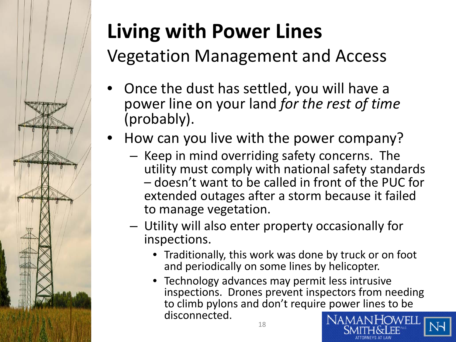

## **Living with Power Lines**

Vegetation Management and Access

- Once the dust has settled, you will have a power line on your land *for the rest of time*  (probably).
- How can you live with the power company?
	- Keep in mind overriding safety concerns. The utility must comply with national safety standards – doesn't want to be called in front of the PUC for extended outages after a storm because it failed to manage vegetation.
	- Utility will also enter property occasionally for inspections.
		- Traditionally, this work was done by truck or on foot and periodically on some lines by helicopter.
		- Technology advances may permit less intrusive inspections. Drones prevent inspectors from needing to climb pylons and don't require power lines to be disconnected.

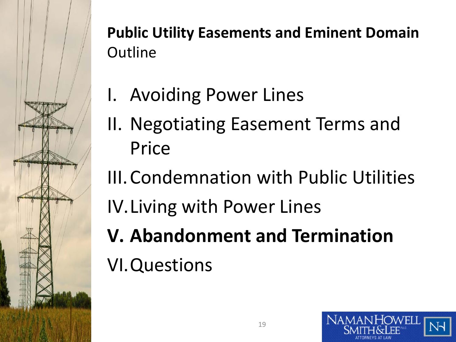

- I. Avoiding Power Lines
- II. Negotiating Easement Terms and Price
- III.Condemnation with Public Utilities IV.Living with Power Lines **V. Abandonment and Termination** VI.Questions

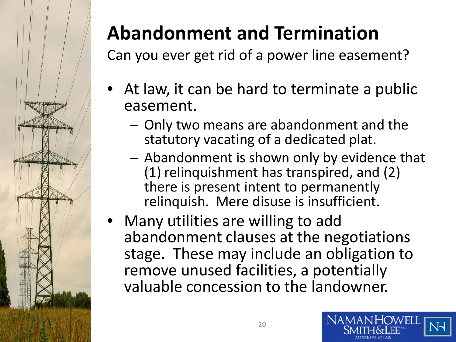

## **Abandonment and Termination**

Can you ever get rid of a power line easement?

- At law, it can be hard to terminate a public easement.
	- Only two means are abandonment and the statutory vacating of a dedicated plat.
	- Abandonment is shown only by evidence that (1) relinquishment has transpired, and (2) there is present intent to permanently relinquish. Mere disuse is insufficient.
- Many utilities are willing to add abandonment clauses at the negotiations stage. These may include an obligation to remove unused facilities, a potentially valuable concession to the landowner.

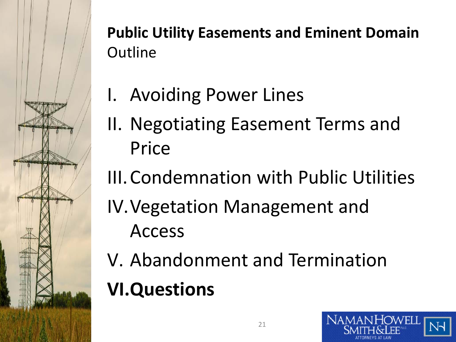

- I. Avoiding Power Lines
- II. Negotiating Easement Terms and Price
- III.Condemnation with Public Utilities
- IV.Vegetation Management and Access
- V. Abandonment and Termination **VI.Questions**